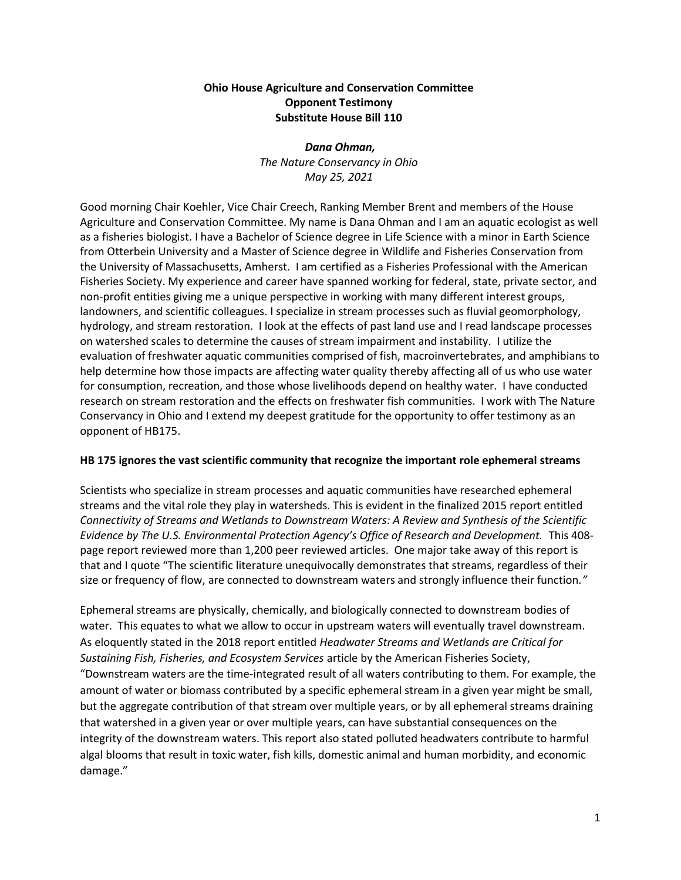## Ohio House Agriculture and Conservation Committee Opponent Testimony Substitute House Bill 110

# Dana Ohman, The Nature Conservancy in Ohio May 25, 2021

Good morning Chair Koehler, Vice Chair Creech, Ranking Member Brent and members of the House Agriculture and Conservation Committee. My name is Dana Ohman and I am an aquatic ecologist as well as a fisheries biologist. I have a Bachelor of Science degree in Life Science with a minor in Earth Science from Otterbein University and a Master of Science degree in Wildlife and Fisheries Conservation from the University of Massachusetts, Amherst. I am certified as a Fisheries Professional with the American Fisheries Society. My experience and career have spanned working for federal, state, private sector, and non-profit entities giving me a unique perspective in working with many different interest groups, landowners, and scientific colleagues. I specialize in stream processes such as fluvial geomorphology, hydrology, and stream restoration. I look at the effects of past land use and I read landscape processes on watershed scales to determine the causes of stream impairment and instability. I utilize the evaluation of freshwater aquatic communities comprised of fish, macroinvertebrates, and amphibians to help determine how those impacts are affecting water quality thereby affecting all of us who use water for consumption, recreation, and those whose livelihoods depend on healthy water. I have conducted research on stream restoration and the effects on freshwater fish communities. I work with The Nature Conservancy in Ohio and I extend my deepest gratitude for the opportunity to offer testimony as an opponent of HB175.

#### HB 175 ignores the vast scientific community that recognize the important role ephemeral streams

Scientists who specialize in stream processes and aquatic communities have researched ephemeral streams and the vital role they play in watersheds. This is evident in the finalized 2015 report entitled Connectivity of Streams and Wetlands to Downstream Waters: A Review and Synthesis of the Scientific Evidence by The U.S. Environmental Protection Agency's Office of Research and Development. This 408 page report reviewed more than 1,200 peer reviewed articles. One major take away of this report is that and I quote "The scientific literature unequivocally demonstrates that streams, regardless of their size or frequency of flow, are connected to downstream waters and strongly influence their function."

Ephemeral streams are physically, chemically, and biologically connected to downstream bodies of water. This equates to what we allow to occur in upstream waters will eventually travel downstream. As eloquently stated in the 2018 report entitled Headwater Streams and Wetlands are Critical for Sustaining Fish, Fisheries, and Ecosystem Services article by the American Fisheries Society, "Downstream waters are the time-integrated result of all waters contributing to them. For example, the amount of water or biomass contributed by a specific ephemeral stream in a given year might be small, but the aggregate contribution of that stream over multiple years, or by all ephemeral streams draining that watershed in a given year or over multiple years, can have substantial consequences on the integrity of the downstream waters. This report also stated polluted headwaters contribute to harmful algal blooms that result in toxic water, fish kills, domestic animal and human morbidity, and economic damage."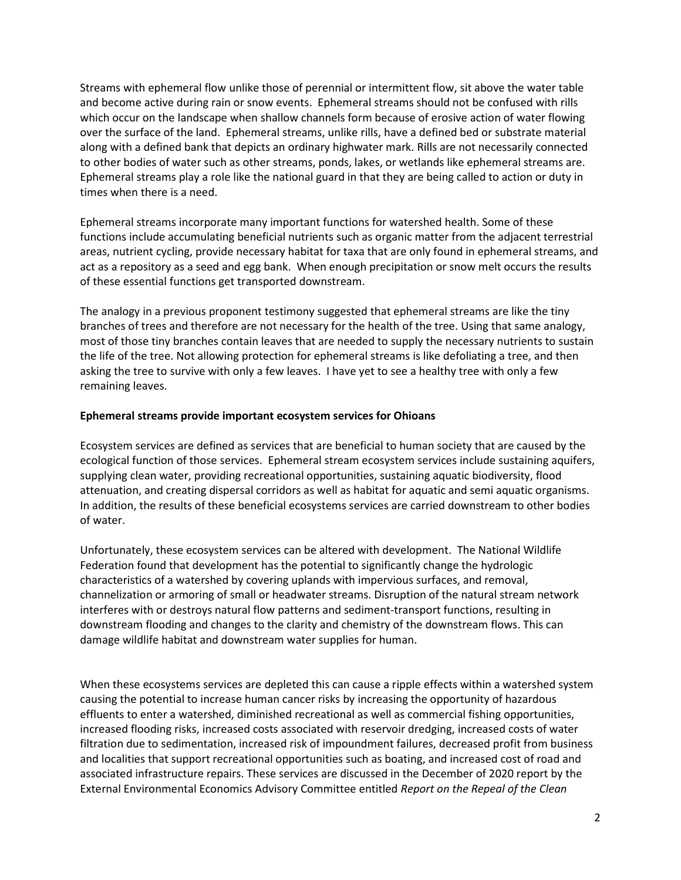Streams with ephemeral flow unlike those of perennial or intermittent flow, sit above the water table and become active during rain or snow events. Ephemeral streams should not be confused with rills which occur on the landscape when shallow channels form because of erosive action of water flowing over the surface of the land. Ephemeral streams, unlike rills, have a defined bed or substrate material along with a defined bank that depicts an ordinary highwater mark. Rills are not necessarily connected to other bodies of water such as other streams, ponds, lakes, or wetlands like ephemeral streams are. Ephemeral streams play a role like the national guard in that they are being called to action or duty in times when there is a need.

Ephemeral streams incorporate many important functions for watershed health. Some of these functions include accumulating beneficial nutrients such as organic matter from the adjacent terrestrial areas, nutrient cycling, provide necessary habitat for taxa that are only found in ephemeral streams, and act as a repository as a seed and egg bank. When enough precipitation or snow melt occurs the results of these essential functions get transported downstream.

The analogy in a previous proponent testimony suggested that ephemeral streams are like the tiny branches of trees and therefore are not necessary for the health of the tree. Using that same analogy, most of those tiny branches contain leaves that are needed to supply the necessary nutrients to sustain the life of the tree. Not allowing protection for ephemeral streams is like defoliating a tree, and then asking the tree to survive with only a few leaves. I have yet to see a healthy tree with only a few remaining leaves.

#### Ephemeral streams provide important ecosystem services for Ohioans

Ecosystem services are defined as services that are beneficial to human society that are caused by the ecological function of those services. Ephemeral stream ecosystem services include sustaining aquifers, supplying clean water, providing recreational opportunities, sustaining aquatic biodiversity, flood attenuation, and creating dispersal corridors as well as habitat for aquatic and semi aquatic organisms. In addition, the results of these beneficial ecosystems services are carried downstream to other bodies of water.

Unfortunately, these ecosystem services can be altered with development. The National Wildlife Federation found that development has the potential to significantly change the hydrologic characteristics of a watershed by covering uplands with impervious surfaces, and removal, channelization or armoring of small or headwater streams. Disruption of the natural stream network interferes with or destroys natural flow patterns and sediment-transport functions, resulting in downstream flooding and changes to the clarity and chemistry of the downstream flows. This can damage wildlife habitat and downstream water supplies for human.

When these ecosystems services are depleted this can cause a ripple effects within a watershed system causing the potential to increase human cancer risks by increasing the opportunity of hazardous effluents to enter a watershed, diminished recreational as well as commercial fishing opportunities, increased flooding risks, increased costs associated with reservoir dredging, increased costs of water filtration due to sedimentation, increased risk of impoundment failures, decreased profit from business and localities that support recreational opportunities such as boating, and increased cost of road and associated infrastructure repairs. These services are discussed in the December of 2020 report by the External Environmental Economics Advisory Committee entitled Report on the Repeal of the Clean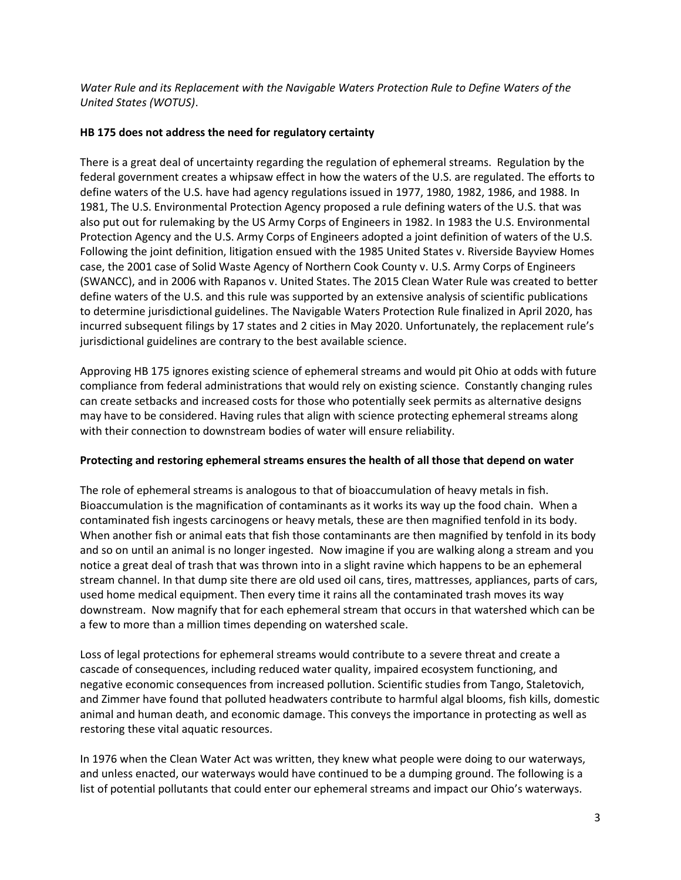Water Rule and its Replacement with the Navigable Waters Protection Rule to Define Waters of the United States (WOTUS).

## HB 175 does not address the need for regulatory certainty

There is a great deal of uncertainty regarding the regulation of ephemeral streams. Regulation by the federal government creates a whipsaw effect in how the waters of the U.S. are regulated. The efforts to define waters of the U.S. have had agency regulations issued in 1977, 1980, 1982, 1986, and 1988. In 1981, The U.S. Environmental Protection Agency proposed a rule defining waters of the U.S. that was also put out for rulemaking by the US Army Corps of Engineers in 1982. In 1983 the U.S. Environmental Protection Agency and the U.S. Army Corps of Engineers adopted a joint definition of waters of the U.S. Following the joint definition, litigation ensued with the 1985 United States v. Riverside Bayview Homes case, the 2001 case of Solid Waste Agency of Northern Cook County v. U.S. Army Corps of Engineers (SWANCC), and in 2006 with Rapanos v. United States. The 2015 Clean Water Rule was created to better define waters of the U.S. and this rule was supported by an extensive analysis of scientific publications to determine jurisdictional guidelines. The Navigable Waters Protection Rule finalized in April 2020, has incurred subsequent filings by 17 states and 2 cities in May 2020. Unfortunately, the replacement rule's jurisdictional guidelines are contrary to the best available science.

Approving HB 175 ignores existing science of ephemeral streams and would pit Ohio at odds with future compliance from federal administrations that would rely on existing science. Constantly changing rules can create setbacks and increased costs for those who potentially seek permits as alternative designs may have to be considered. Having rules that align with science protecting ephemeral streams along with their connection to downstream bodies of water will ensure reliability.

#### Protecting and restoring ephemeral streams ensures the health of all those that depend on water

The role of ephemeral streams is analogous to that of bioaccumulation of heavy metals in fish. Bioaccumulation is the magnification of contaminants as it works its way up the food chain. When a contaminated fish ingests carcinogens or heavy metals, these are then magnified tenfold in its body. When another fish or animal eats that fish those contaminants are then magnified by tenfold in its body and so on until an animal is no longer ingested. Now imagine if you are walking along a stream and you notice a great deal of trash that was thrown into in a slight ravine which happens to be an ephemeral stream channel. In that dump site there are old used oil cans, tires, mattresses, appliances, parts of cars, used home medical equipment. Then every time it rains all the contaminated trash moves its way downstream. Now magnify that for each ephemeral stream that occurs in that watershed which can be a few to more than a million times depending on watershed scale.

Loss of legal protections for ephemeral streams would contribute to a severe threat and create a cascade of consequences, including reduced water quality, impaired ecosystem functioning, and negative economic consequences from increased pollution. Scientific studies from Tango, Staletovich, and Zimmer have found that polluted headwaters contribute to harmful algal blooms, fish kills, domestic animal and human death, and economic damage. This conveys the importance in protecting as well as restoring these vital aquatic resources.

In 1976 when the Clean Water Act was written, they knew what people were doing to our waterways, and unless enacted, our waterways would have continued to be a dumping ground. The following is a list of potential pollutants that could enter our ephemeral streams and impact our Ohio's waterways.